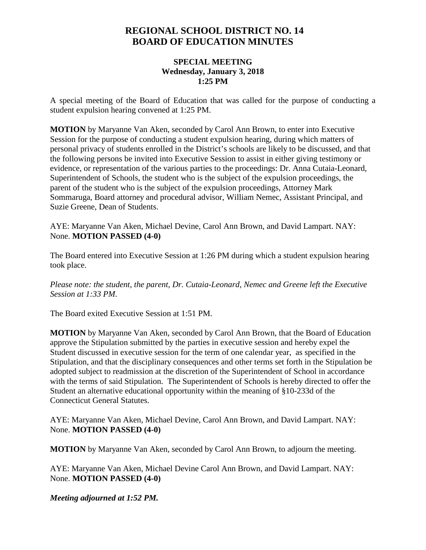## **REGIONAL SCHOOL DISTRICT NO. 14 BOARD OF EDUCATION MINUTES**

## **SPECIAL MEETING Wednesday, January 3, 2018 1:25 PM**

A special meeting of the Board of Education that was called for the purpose of conducting a student expulsion hearing convened at 1:25 PM.

**MOTION** by Maryanne Van Aken, seconded by Carol Ann Brown, to enter into Executive Session for the purpose of conducting a student expulsion hearing, during which matters of personal privacy of students enrolled in the District's schools are likely to be discussed, and that the following persons be invited into Executive Session to assist in either giving testimony or evidence, or representation of the various parties to the proceedings: Dr. Anna Cutaia-Leonard, Superintendent of Schools, the student who is the subject of the expulsion proceedings, the parent of the student who is the subject of the expulsion proceedings, Attorney Mark Sommaruga, Board attorney and procedural advisor, William Nemec, Assistant Principal, and Suzie Greene, Dean of Students.

AYE: Maryanne Van Aken, Michael Devine, Carol Ann Brown, and David Lampart. NAY: None. **MOTION PASSED (4-0)**

The Board entered into Executive Session at 1:26 PM during which a student expulsion hearing took place.

*Please note: the student, the parent, Dr. Cutaia-Leonard, Nemec and Greene left the Executive Session at 1:33 PM*.

The Board exited Executive Session at 1:51 PM.

**MOTION** by Maryanne Van Aken, seconded by Carol Ann Brown, that the Board of Education approve the Stipulation submitted by the parties in executive session and hereby expel the Student discussed in executive session for the term of one calendar year, as specified in the Stipulation, and that the disciplinary consequences and other terms set forth in the Stipulation be adopted subject to readmission at the discretion of the Superintendent of School in accordance with the terms of said Stipulation. The Superintendent of Schools is hereby directed to offer the Student an alternative educational opportunity within the meaning of §10-233d of the Connecticut General Statutes.

AYE: Maryanne Van Aken, Michael Devine, Carol Ann Brown, and David Lampart. NAY: None. **MOTION PASSED (4-0)**

**MOTION** by Maryanne Van Aken, seconded by Carol Ann Brown, to adjourn the meeting.

AYE: Maryanne Van Aken, Michael Devine Carol Ann Brown, and David Lampart. NAY: None. **MOTION PASSED (4-0)**

*Meeting adjourned at 1:52 PM.*